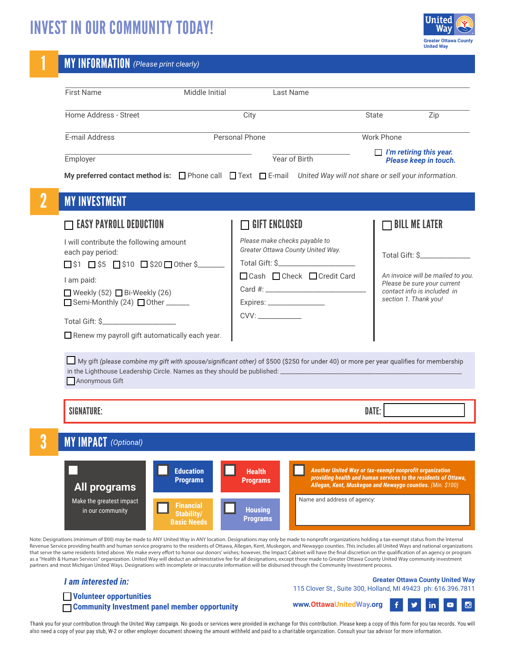# INVEST IN OUR COMMUNITY TODAY!



### 1 MY INFORMATION *(Please print clearly)*

| <b>First Name</b>                                                                                                                                                                                                                                                                           | Middle Initial<br>Last Name                                                                                                       |                                                                                                                                                                                                                                                                                      |
|---------------------------------------------------------------------------------------------------------------------------------------------------------------------------------------------------------------------------------------------------------------------------------------------|-----------------------------------------------------------------------------------------------------------------------------------|--------------------------------------------------------------------------------------------------------------------------------------------------------------------------------------------------------------------------------------------------------------------------------------|
| Home Address - Street                                                                                                                                                                                                                                                                       | City                                                                                                                              | <b>State</b><br>Zip                                                                                                                                                                                                                                                                  |
| E-mail Address                                                                                                                                                                                                                                                                              | Personal Phone                                                                                                                    | <b>Work Phone</b>                                                                                                                                                                                                                                                                    |
| Employer                                                                                                                                                                                                                                                                                    | Year of Birth                                                                                                                     | $\Box$ I'm retiring this year.<br>Please keep in touch.                                                                                                                                                                                                                              |
|                                                                                                                                                                                                                                                                                             |                                                                                                                                   | My preferred contact method is: $\Box$ Phone call $\Box$ Text $\Box$ E-mail United Way will not share or sell your information.                                                                                                                                                      |
| <b>MY INVESTMENT</b>                                                                                                                                                                                                                                                                        |                                                                                                                                   |                                                                                                                                                                                                                                                                                      |
| $\sqsupset$ easy payroll deduction                                                                                                                                                                                                                                                          | $\sqcap$ gift enclosed                                                                                                            | $\Box$ bill me later                                                                                                                                                                                                                                                                 |
| I will contribute the following amount<br>each pay period:<br>$\Box$ \$1 $\Box$ \$5 $\Box$ \$10 $\Box$ \$20 $\Box$ Other \$<br>I am paid:<br>Weekly (52) Bi-Weekly (26)<br>$\Box$ Semi-Monthly (24) $\Box$ Other ______<br>Renew my payroll gift automatically each year.<br>Anonymous Gift | Please make checks payable to<br>Greater Ottawa County United Way.<br>□ Cash □ Check □ Credit Card<br>Expires: __________________ | Total Gift: \$<br>An invoice will be mailed to you.<br>Please be sure your current<br>contact info is included in<br>section 1. Thank you!<br>My gift (please combine my gift with spouse/significant other) of \$500 (\$250 for under 40) or more per year qualifies for membership |
| <b>SIGNATURE:</b>                                                                                                                                                                                                                                                                           |                                                                                                                                   | DATE:                                                                                                                                                                                                                                                                                |
| <b>MY IMPACT</b> (Optional)                                                                                                                                                                                                                                                                 |                                                                                                                                   |                                                                                                                                                                                                                                                                                      |
| All programs<br>Make the greatest impact<br>in our community                                                                                                                                                                                                                                | <b>Education</b><br><b>Health</b><br><b>Programs</b><br><b>Programs</b><br><b>Financial</b><br><b>Housing</b><br>Stability/       | Another United Way or tax-exempt nonprofit organization<br>providing health and human services to the residents of Ottawa,<br>Allegan, Kent, Muskegon and Newaygo counties. (Min. \$100)<br>Name and address of agency:                                                              |

Note: Designations (minimum of \$100) may be made to ANY United Way in ANY location. Designations may only be made to nonprofit organizations holding a tax-exempt status from the Internal Revenue Service providing health and human service programs to the residents of Ottawa, Allegan, Kent, Muskegon, and Newaygo counties. This includes all United Ways and national organizations that serve the same residents listed above. We make every effort to honor our donors' wishes; however, the Impact Cabinet will have the final discretion on the qualification of an agency or program as a "Health & Human Services" organization. United Way will deduct an administrative fee for all designations, except those made to Greater Ottawa County United Way community investment partners and most Michigan United Ways. Designations with incomplete or inaccurate information will be disbursed through the Community Investment process.

### *I am interested in:*

#### **Greater Ottawa County United Way** 115 Clover St., Suite 300, Holland, MI 49423 ph: 616.396.7811

☐ **Volunteer opportunities**

☐ **Community Investment panel member opportunity**

**www.OttawaUnitedWay.org**  $\ddot{\mathbf{f}}$ ÿ  $\mathsf{in}$ **D**  $\bullet$ 

Thank you for your contribution through the United Way campaign. No goods or services were provided in exchange for this contribution. Please keep a copy of this form for you tax records. You will also need a copy of your pay stub, W-2 or other employer document showing the amount withheld and paid to a charitable organization. Consult your tax advisor for more information.